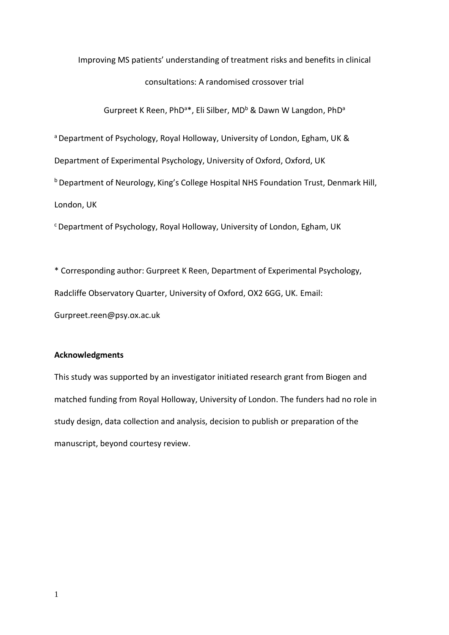# Improving MS patients' understanding of treatment risks and benefits in clinical consultations: A randomised crossover trial

Gurpreet K Reen, PhD<sup>a\*</sup>, Eli Silber, MD<sup>b</sup> & Dawn W Langdon, PhD<sup>a</sup>

a Department of Psychology, Royal Holloway, University of London, Egham, UK &

Department of Experimental Psychology, University of Oxford, Oxford, UK

<sup>b</sup> Department of Neurology, King's College Hospital NHS Foundation Trust, Denmark Hill,

London, UK

<sup>c</sup>Department of Psychology, Royal Holloway, University of London, Egham, UK

\* Corresponding author: Gurpreet K Reen, Department of Experimental Psychology, Radcliffe Observatory Quarter, University of Oxford, OX2 6GG, UK. Email: Gurpreet.reen@psy.ox.ac.uk

# **Acknowledgments**

This study was supported by an investigator initiated research grant from Biogen and matched funding from Royal Holloway, University of London. The funders had no role in study design, data collection and analysis, decision to publish or preparation of the manuscript, beyond courtesy review.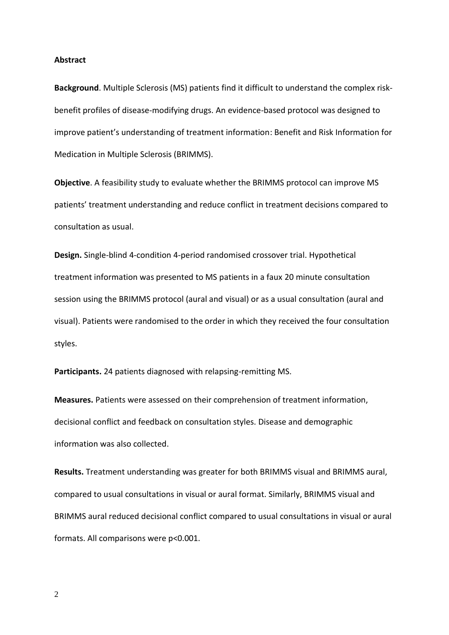#### **Abstract**

**Background**. Multiple Sclerosis (MS) patients find it difficult to understand the complex riskbenefit profiles of disease-modifying drugs. An evidence-based protocol was designed to improve patient's understanding of treatment information: Benefit and Risk Information for Medication in Multiple Sclerosis (BRIMMS).

**Objective**. A feasibility study to evaluate whether the BRIMMS protocol can improve MS patients' treatment understanding and reduce conflict in treatment decisions compared to consultation as usual.

**Design.** Single-blind 4-condition 4-period randomised crossover trial. Hypothetical treatment information was presented to MS patients in a faux 20 minute consultation session using the BRIMMS protocol (aural and visual) or as a usual consultation (aural and visual). Patients were randomised to the order in which they received the four consultation styles.

**Participants.** 24 patients diagnosed with relapsing-remitting MS.

**Measures.** Patients were assessed on their comprehension of treatment information, decisional conflict and feedback on consultation styles. Disease and demographic information was also collected.

**Results.** Treatment understanding was greater for both BRIMMS visual and BRIMMS aural, compared to usual consultations in visual or aural format. Similarly, BRIMMS visual and BRIMMS aural reduced decisional conflict compared to usual consultations in visual or aural formats. All comparisons were p<0.001.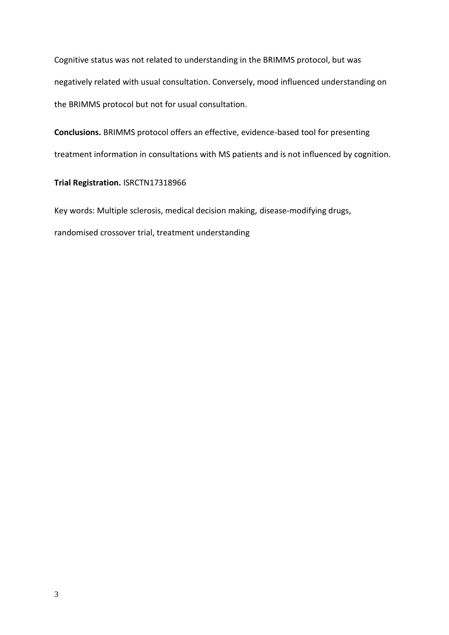Cognitive status was not related to understanding in the BRIMMS protocol, but was negatively related with usual consultation. Conversely, mood influenced understanding on the BRIMMS protocol but not for usual consultation.

**Conclusions.** BRIMMS protocol offers an effective, evidence-based tool for presenting treatment information in consultations with MS patients and is not influenced by cognition.

# **Trial Registration.** ISRCTN17318966

Key words: Multiple sclerosis, medical decision making, disease-modifying drugs,

randomised crossover trial, treatment understanding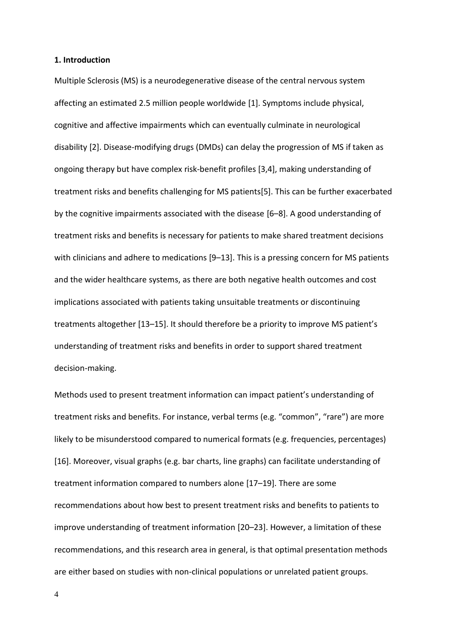## **1. Introduction**

Multiple Sclerosis (MS) is a neurodegenerative disease of the central nervous system affecting an estimated 2.5 million people worldwide [1]. Symptoms include physical, cognitive and affective impairments which can eventually culminate in neurological disability [2]. Disease-modifying drugs (DMDs) can delay the progression of MS if taken as ongoing therapy but have complex risk-benefit profiles [3,4], making understanding of treatment risks and benefits challenging for MS patients[5]. This can be further exacerbated by the cognitive impairments associated with the disease [6–8]. A good understanding of treatment risks and benefits is necessary for patients to make shared treatment decisions with clinicians and adhere to medications [9–13]. This is a pressing concern for MS patients and the wider healthcare systems, as there are both negative health outcomes and cost implications associated with patients taking unsuitable treatments or discontinuing treatments altogether [13–15]. It should therefore be a priority to improve MS patient's understanding of treatment risks and benefits in order to support shared treatment decision-making.

Methods used to present treatment information can impact patient's understanding of treatment risks and benefits. For instance, verbal terms (e.g. "common", "rare") are more likely to be misunderstood compared to numerical formats (e.g. frequencies, percentages) [16]. Moreover, visual graphs (e.g. bar charts, line graphs) can facilitate understanding of treatment information compared to numbers alone [17–19]. There are some recommendations about how best to present treatment risks and benefits to patients to improve understanding of treatment information [20–23]. However, a limitation of these recommendations, and this research area in general, is that optimal presentation methods are either based on studies with non-clinical populations or unrelated patient groups.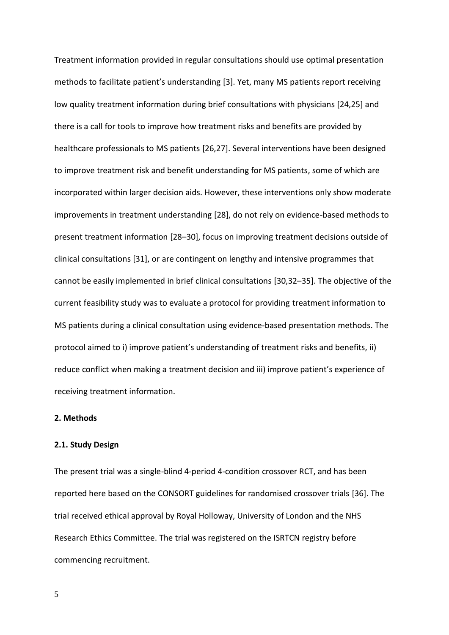Treatment information provided in regular consultations should use optimal presentation methods to facilitate patient's understanding [3]. Yet, many MS patients report receiving low quality treatment information during brief consultations with physicians [24,25] and there is a call for tools to improve how treatment risks and benefits are provided by healthcare professionals to MS patients [26,27]. Several interventions have been designed to improve treatment risk and benefit understanding for MS patients, some of which are incorporated within larger decision aids. However, these interventions only show moderate improvements in treatment understanding [28], do not rely on evidence-based methods to present treatment information [28–30], focus on improving treatment decisions outside of clinical consultations [31], or are contingent on lengthy and intensive programmes that cannot be easily implemented in brief clinical consultations [30,32–35]. The objective of the current feasibility study was to evaluate a protocol for providing treatment information to MS patients during a clinical consultation using evidence-based presentation methods. The protocol aimed to i) improve patient's understanding of treatment risks and benefits, ii) reduce conflict when making a treatment decision and iii) improve patient's experience of receiving treatment information.

# **2. Methods**

# **2.1. Study Design**

The present trial was a single-blind 4-period 4-condition crossover RCT, and has been reported here based on the CONSORT guidelines for randomised crossover trials [36]. The trial received ethical approval by Royal Holloway, University of London and the NHS Research Ethics Committee. The trial was registered on the ISRTCN registry before commencing recruitment.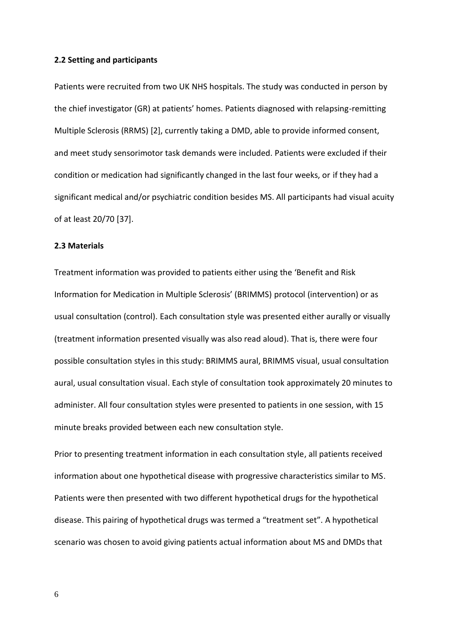#### **2.2 Setting and participants**

Patients were recruited from two UK NHS hospitals. The study was conducted in person by the chief investigator (GR) at patients' homes. Patients diagnosed with relapsing-remitting Multiple Sclerosis (RRMS) [2], currently taking a DMD, able to provide informed consent, and meet study sensorimotor task demands were included. Patients were excluded if their condition or medication had significantly changed in the last four weeks, or if they had a significant medical and/or psychiatric condition besides MS. All participants had visual acuity of at least 20/70 [37].

# **2.3 Materials**

Treatment information was provided to patients either using the 'Benefit and Risk Information for Medication in Multiple Sclerosis' (BRIMMS) protocol (intervention) or as usual consultation (control). Each consultation style was presented either aurally or visually (treatment information presented visually was also read aloud). That is, there were four possible consultation styles in this study: BRIMMS aural, BRIMMS visual, usual consultation aural, usual consultation visual. Each style of consultation took approximately 20 minutes to administer. All four consultation styles were presented to patients in one session, with 15 minute breaks provided between each new consultation style.

Prior to presenting treatment information in each consultation style, all patients received information about one hypothetical disease with progressive characteristics similar to MS. Patients were then presented with two different hypothetical drugs for the hypothetical disease. This pairing of hypothetical drugs was termed a "treatment set". A hypothetical scenario was chosen to avoid giving patients actual information about MS and DMDs that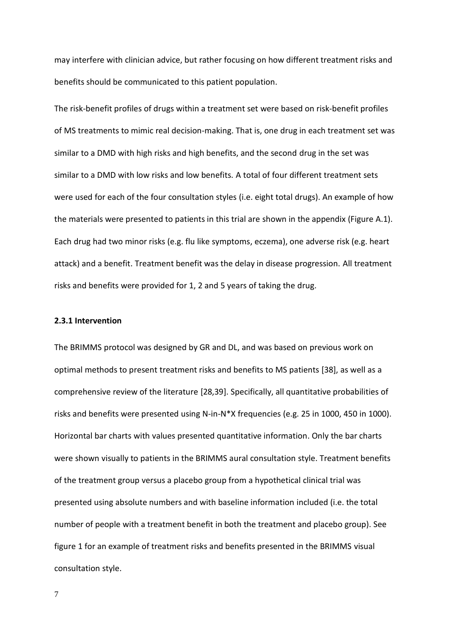may interfere with clinician advice, but rather focusing on how different treatment risks and benefits should be communicated to this patient population.

The risk-benefit profiles of drugs within a treatment set were based on risk-benefit profiles of MS treatments to mimic real decision-making. That is, one drug in each treatment set was similar to a DMD with high risks and high benefits, and the second drug in the set was similar to a DMD with low risks and low benefits. A total of four different treatment sets were used for each of the four consultation styles (i.e. eight total drugs). An example of how the materials were presented to patients in this trial are shown in the appendix (Figure A.1). Each drug had two minor risks (e.g. flu like symptoms, eczema), one adverse risk (e.g. heart attack) and a benefit. Treatment benefit was the delay in disease progression. All treatment risks and benefits were provided for 1, 2 and 5 years of taking the drug.

# **2.3.1 Intervention**

The BRIMMS protocol was designed by GR and DL, and was based on previous work on optimal methods to present treatment risks and benefits to MS patients [38], as well as a comprehensive review of the literature [28,39]. Specifically, all quantitative probabilities of risks and benefits were presented using N-in-N\*X frequencies (e.g. 25 in 1000, 450 in 1000). Horizontal bar charts with values presented quantitative information. Only the bar charts were shown visually to patients in the BRIMMS aural consultation style. Treatment benefits of the treatment group versus a placebo group from a hypothetical clinical trial was presented using absolute numbers and with baseline information included (i.e. the total number of people with a treatment benefit in both the treatment and placebo group). See figure 1 for an example of treatment risks and benefits presented in the BRIMMS visual consultation style.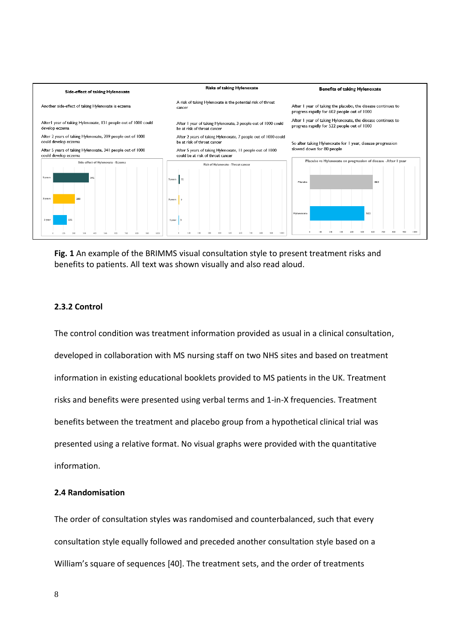

**Fig. 1** An example of the BRIMMS visual consultation style to present treatment risks and benefits to patients. All text was shown visually and also read aloud.

# **2.3.2 Control**

The control condition was treatment information provided as usual in a clinical consultation, developed in collaboration with MS nursing staff on two NHS sites and based on treatment information in existing educational booklets provided to MS patients in the UK. Treatment risks and benefits were presented using verbal terms and 1-in-X frequencies. Treatment benefits between the treatment and placebo group from a hypothetical clinical trial was presented using a relative format. No visual graphs were provided with the quantitative information.

# **2.4 Randomisation**

The order of consultation styles was randomised and counterbalanced, such that every consultation style equally followed and preceded another consultation style based on a William's square of sequences [40]. The treatment sets, and the order of treatments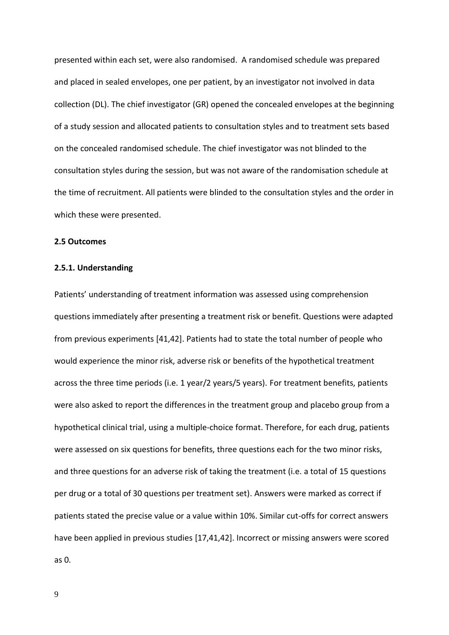presented within each set, were also randomised. A randomised schedule was prepared and placed in sealed envelopes, one per patient, by an investigator not involved in data collection (DL). The chief investigator (GR) opened the concealed envelopes at the beginning of a study session and allocated patients to consultation styles and to treatment sets based on the concealed randomised schedule. The chief investigator was not blinded to the consultation styles during the session, but was not aware of the randomisation schedule at the time of recruitment. All patients were blinded to the consultation styles and the order in which these were presented.

#### **2.5 Outcomes**

# **2.5.1. Understanding**

Patients' understanding of treatment information was assessed using comprehension questions immediately after presenting a treatment risk or benefit. Questions were adapted from previous experiments [41,42]. Patients had to state the total number of people who would experience the minor risk, adverse risk or benefits of the hypothetical treatment across the three time periods (i.e. 1 year/2 years/5 years). For treatment benefits, patients were also asked to report the differences in the treatment group and placebo group from a hypothetical clinical trial, using a multiple-choice format. Therefore, for each drug, patients were assessed on six questions for benefits, three questions each for the two minor risks, and three questions for an adverse risk of taking the treatment (i.e. a total of 15 questions per drug or a total of 30 questions per treatment set). Answers were marked as correct if patients stated the precise value or a value within 10%. Similar cut-offs for correct answers have been applied in previous studies [17,41,42]. Incorrect or missing answers were scored as 0.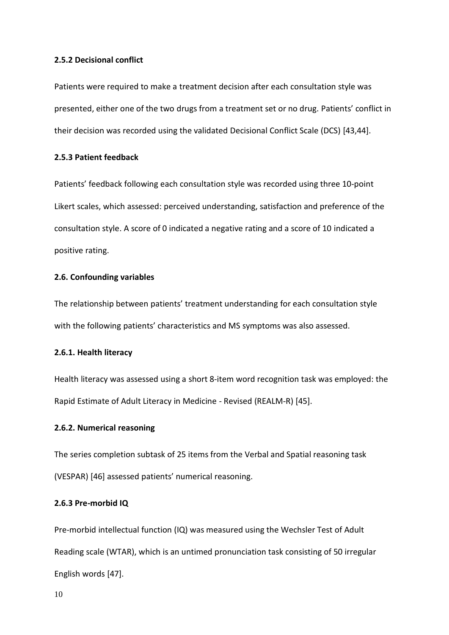# **2.5.2 Decisional conflict**

Patients were required to make a treatment decision after each consultation style was presented, either one of the two drugs from a treatment set or no drug. Patients' conflict in their decision was recorded using the validated Decisional Conflict Scale (DCS) [43,44].

# **2.5.3 Patient feedback**

Patients' feedback following each consultation style was recorded using three 10-point Likert scales, which assessed: perceived understanding, satisfaction and preference of the consultation style. A score of 0 indicated a negative rating and a score of 10 indicated a positive rating.

# **2.6. Confounding variables**

The relationship between patients' treatment understanding for each consultation style with the following patients' characteristics and MS symptoms was also assessed.

# **2.6.1. Health literacy**

Health literacy was assessed using a short 8-item word recognition task was employed: the Rapid Estimate of Adult Literacy in Medicine - Revised (REALM-R) [45].

# **2.6.2. Numerical reasoning**

The series completion subtask of 25 items from the Verbal and Spatial reasoning task (VESPAR) [46] assessed patients' numerical reasoning.

# **2.6.3 Pre-morbid IQ**

Pre-morbid intellectual function (IQ) was measured using the Wechsler Test of Adult Reading scale (WTAR), which is an untimed pronunciation task consisting of 50 irregular English words [47].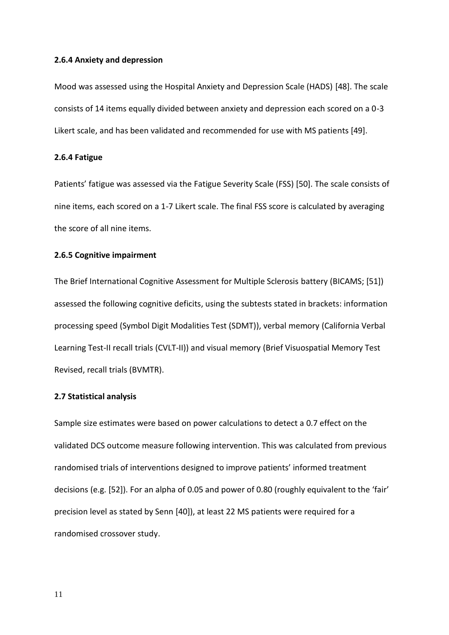# **2.6.4 Anxiety and depression**

Mood was assessed using the Hospital Anxiety and Depression Scale (HADS) [48]. The scale consists of 14 items equally divided between anxiety and depression each scored on a 0-3 Likert scale, and has been validated and recommended for use with MS patients [49].

#### **2.6.4 Fatigue**

Patients' fatigue was assessed via the Fatigue Severity Scale (FSS) [50]. The scale consists of nine items, each scored on a 1-7 Likert scale. The final FSS score is calculated by averaging the score of all nine items.

# **2.6.5 Cognitive impairment**

The Brief International Cognitive Assessment for Multiple Sclerosis battery (BICAMS; [51]) assessed the following cognitive deficits, using the subtests stated in brackets: information processing speed (Symbol Digit Modalities Test (SDMT)), verbal memory (California Verbal Learning Test-II recall trials (CVLT-II)) and visual memory (Brief Visuospatial Memory Test Revised, recall trials (BVMTR).

#### **2.7 Statistical analysis**

Sample size estimates were based on power calculations to detect a 0.7 effect on the validated DCS outcome measure following intervention. This was calculated from previous randomised trials of interventions designed to improve patients' informed treatment decisions (e.g. [52]). For an alpha of 0.05 and power of 0.80 (roughly equivalent to the 'fair' precision level as stated by Senn [40]), at least 22 MS patients were required for a randomised crossover study.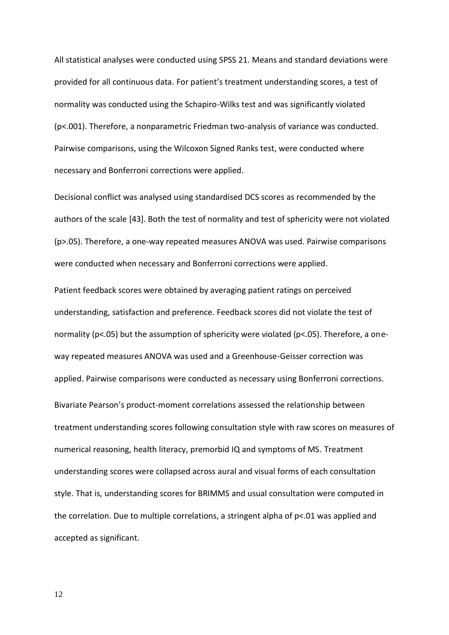All statistical analyses were conducted using SPSS 21. Means and standard deviations were provided for all continuous data. For patient's treatment understanding scores, a test of normality was conducted using the Schapiro-Wilks test and was significantly violated (p<.001). Therefore, a nonparametric Friedman two-analysis of variance was conducted. Pairwise comparisons, using the Wilcoxon Signed Ranks test, were conducted where necessary and Bonferroni corrections were applied.

Decisional conflict was analysed using standardised DCS scores as recommended by the authors of the scale [43]. Both the test of normality and test of sphericity were not violated (p>.05). Therefore, a one-way repeated measures ANOVA was used. Pairwise comparisons were conducted when necessary and Bonferroni corrections were applied.

Patient feedback scores were obtained by averaging patient ratings on perceived understanding, satisfaction and preference. Feedback scores did not violate the test of normality (p<.05) but the assumption of sphericity were violated (p<.05). Therefore, a oneway repeated measures ANOVA was used and a Greenhouse-Geisser correction was applied. Pairwise comparisons were conducted as necessary using Bonferroni corrections. Bivariate Pearson's product-moment correlations assessed the relationship between treatment understanding scores following consultation style with raw scores on measures of numerical reasoning, health literacy, premorbid IQ and symptoms of MS. Treatment understanding scores were collapsed across aural and visual forms of each consultation style. That is, understanding scores for BRIMMS and usual consultation were computed in the correlation. Due to multiple correlations, a stringent alpha of p<.01 was applied and accepted as significant.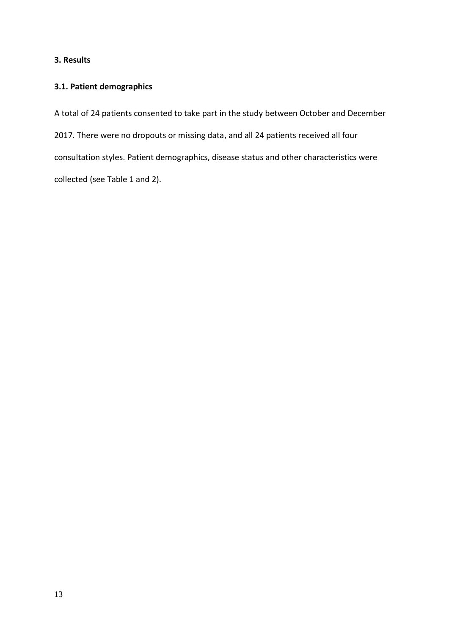# **3. Results**

# **3.1. Patient demographics**

A total of 24 patients consented to take part in the study between October and December 2017. There were no dropouts or missing data, and all 24 patients received all four consultation styles. Patient demographics, disease status and other characteristics were collected (see Table 1 and 2).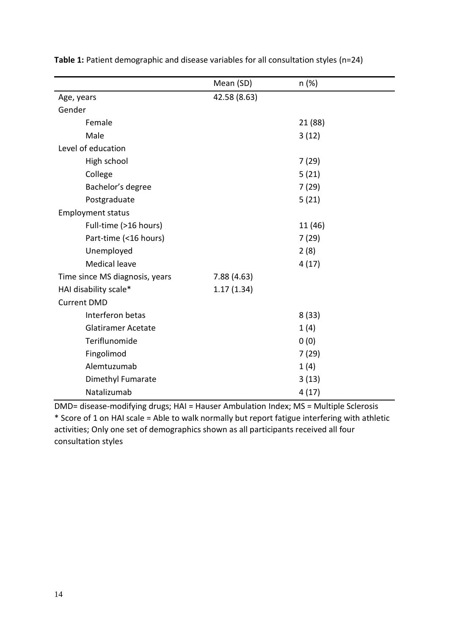|                                | Mean (SD)    | n (%)   |
|--------------------------------|--------------|---------|
| Age, years                     | 42.58 (8.63) |         |
| Gender                         |              |         |
| Female                         |              | 21 (88) |
| Male                           |              | 3(12)   |
| Level of education             |              |         |
| High school                    |              | 7(29)   |
| College                        |              | 5(21)   |
| Bachelor's degree              |              | 7(29)   |
| Postgraduate                   |              | 5(21)   |
| <b>Employment status</b>       |              |         |
| Full-time (>16 hours)          |              | 11 (46) |
| Part-time (<16 hours)          |              | 7(29)   |
| Unemployed                     |              | 2(8)    |
| <b>Medical leave</b>           |              | 4(17)   |
| Time since MS diagnosis, years | 7.88(4.63)   |         |
| HAI disability scale*          | 1.17(1.34)   |         |
| <b>Current DMD</b>             |              |         |
| Interferon betas               |              | 8(33)   |
| <b>Glatiramer Acetate</b>      |              | 1(4)    |
| Teriflunomide                  |              | 0(0)    |
| Fingolimod                     |              | 7(29)   |
| Alemtuzumab                    |              | 1(4)    |
| Dimethyl Fumarate              |              | 3(13)   |
| Natalizumab                    |              | 4(17)   |

**Table 1:** Patient demographic and disease variables for all consultation styles (n=24)

DMD= disease-modifying drugs; HAI = Hauser Ambulation Index; MS = Multiple Sclerosis \* Score of 1 on HAI scale = Able to walk normally but report fatigue interfering with athletic activities; Only one set of demographics shown as all participants received all four consultation styles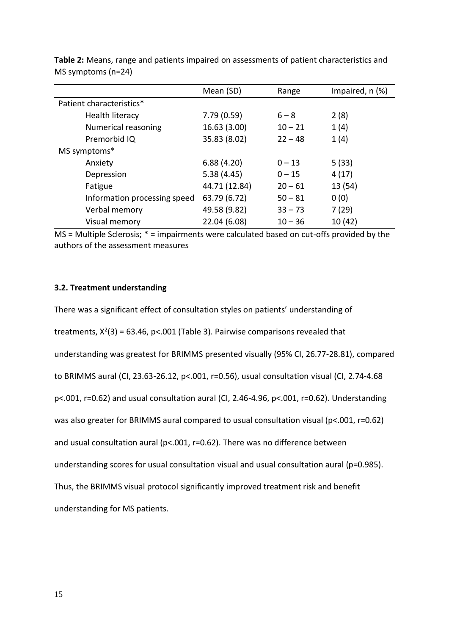|                              | Mean (SD)     | Range     | Impaired, n (%) |
|------------------------------|---------------|-----------|-----------------|
| Patient characteristics*     |               |           |                 |
| Health literacy              | 7.79(0.59)    | $6 - 8$   | 2(8)            |
| Numerical reasoning          | 16.63 (3.00)  | $10 - 21$ | 1(4)            |
| Premorbid IQ                 | 35.83 (8.02)  | $22 - 48$ | 1(4)            |
| MS symptoms*                 |               |           |                 |
| Anxiety                      | 6.88(4.20)    | $0 - 13$  | 5(33)           |
| Depression                   | 5.38(4.45)    | $0 - 15$  | 4(17)           |
| Fatigue                      | 44.71 (12.84) | $20 - 61$ | 13(54)          |
| Information processing speed | 63.79 (6.72)  | $50 - 81$ | 0(0)            |
| Verbal memory                | 49.58 (9.82)  | $33 - 73$ | 7(29)           |
| Visual memory                | 22.04 (6.08)  | $10 - 36$ | 10(42)          |

**Table 2:** Means, range and patients impaired on assessments of patient characteristics and MS symptoms (n=24)

MS = Multiple Sclerosis; \* = impairments were calculated based on cut-offs provided by the authors of the assessment measures

# **3.2. Treatment understanding**

There was a significant effect of consultation styles on patients' understanding of treatments,  $X^2(3) = 63.46$ , p<.001 (Table 3). Pairwise comparisons revealed that understanding was greatest for BRIMMS presented visually (95% CI, 26.77-28.81), compared to BRIMMS aural (CI, 23.63-26.12, p<.001, r=0.56), usual consultation visual (CI, 2.74-4.68 p<.001, r=0.62) and usual consultation aural (CI, 2.46-4.96, p<.001, r=0.62). Understanding was also greater for BRIMMS aural compared to usual consultation visual (p<.001, r=0.62) and usual consultation aural (p<.001, r=0.62). There was no difference between understanding scores for usual consultation visual and usual consultation aural (p=0.985). Thus, the BRIMMS visual protocol significantly improved treatment risk and benefit understanding for MS patients.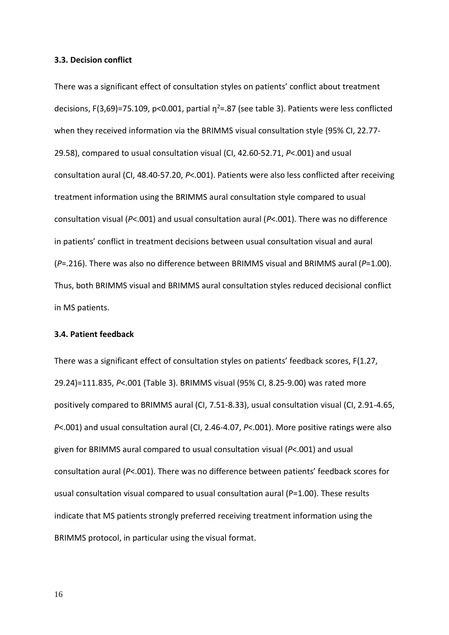## **3.3. Decision conflict**

There was a significant effect of consultation styles on patients' conflict about treatment decisions, F(3,69)=75.109, p<0.001, partial  $\eta^2$ =.87 (see table 3). Patients were less conflicted when they received information via the BRIMMS visual consultation style (95% CI, 22.77- 29.58), compared to usual consultation visual (CI, 42.60-52.71, *P*<.001) and usual consultation aural (CI, 48.40-57.20, *P*<.001). Patients were also less conflicted after receiving treatment information using the BRIMMS aural consultation style compared to usual consultation visual (*P*<.001) and usual consultation aural (*P*<.001). There was no difference in patients' conflict in treatment decisions between usual consultation visual and aural (*P*=.216). There was also no difference between BRIMMS visual and BRIMMS aural (*P*=1.00). Thus, both BRIMMS visual and BRIMMS aural consultation styles reduced decisional conflict in MS patients.

# **3.4. Patient feedback**

There was a significant effect of consultation styles on patients' feedback scores, F(1.27, 29.24)=111.835, *P*<.001 (Table 3). BRIMMS visual (95% CI, 8.25-9.00) was rated more positively compared to BRIMMS aural (CI, 7.51-8.33), usual consultation visual (CI, 2.91-4.65, *P*<.001) and usual consultation aural (CI, 2.46-4.07, *P*<.001). More positive ratings were also given for BRIMMS aural compared to usual consultation visual (*P*<.001) and usual consultation aural (*P*<.001). There was no difference between patients' feedback scores for usual consultation visual compared to usual consultation aural (P=1.00). These results indicate that MS patients strongly preferred receiving treatment information using the BRIMMS protocol, in particular using the visual format.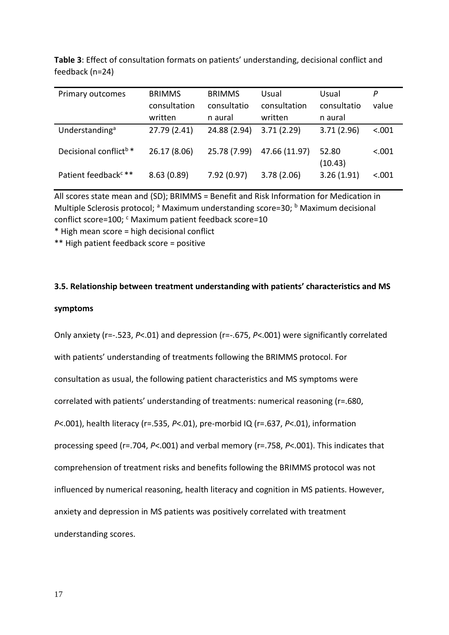| Primary outcomes                  | <b>BRIMMS</b> | <b>BRIMMS</b> | Usual         | Usual            | P       |
|-----------------------------------|---------------|---------------|---------------|------------------|---------|
|                                   | consultation  | consultatio   | consultation  | consultatio      | value   |
|                                   | written       | n aural       | written       | n aural          |         |
| Understanding <sup>a</sup>        | 27.79 (2.41)  | 24.88 (2.94)  | 3.71(2.29)    | 3.71(2.96)       | < .001  |
| Decisional conflict <sup>b*</sup> | 26.17 (8.06)  | 25.78 (7.99)  | 47.66 (11.97) | 52.80<br>(10.43) | < .001  |
| Patient feedback <sup>c**</sup>   | 8.63(0.89)    | 7.92(0.97)    | 3.78(2.06)    | 3.26(1.91)       | < 0.001 |

**Table 3**: Effect of consultation formats on patients' understanding, decisional conflict and feedback (n=24)

All scores state mean and (SD); BRIMMS = Benefit and Risk Information for Medication in Multiple Sclerosis protocol; <sup>a</sup> Maximum understanding score=30; <sup>b</sup> Maximum decisional conflict score=100; <sup>c</sup> Maximum patient feedback score=10

\* High mean score = high decisional conflict

\*\* High patient feedback score = positive

# **3.5. Relationship between treatment understanding with patients' characteristics and MS**

#### **symptoms**

Only anxiety (r=-.523, *P*<.01) and depression (r=-.675, *P*<.001) were significantly correlated with patients' understanding of treatments following the BRIMMS protocol. For consultation as usual, the following patient characteristics and MS symptoms were correlated with patients' understanding of treatments: numerical reasoning (r=.680, *P*<.001), health literacy (r=.535, *P*<.01), pre-morbid IQ (r=.637, *P*<.01), information processing speed (r=.704, *P*<.001) and verbal memory (r=.758, *P*<.001). This indicates that comprehension of treatment risks and benefits following the BRIMMS protocol was not influenced by numerical reasoning, health literacy and cognition in MS patients. However, anxiety and depression in MS patients was positively correlated with treatment understanding scores.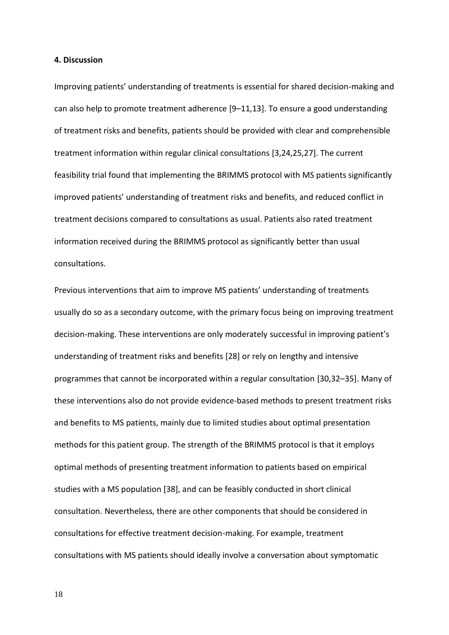# **4. Discussion**

Improving patients' understanding of treatments is essential for shared decision-making and can also help to promote treatment adherence [9–11,13]. To ensure a good understanding of treatment risks and benefits, patients should be provided with clear and comprehensible treatment information within regular clinical consultations [3,24,25,27]. The current feasibility trial found that implementing the BRIMMS protocol with MS patients significantly improved patients' understanding of treatment risks and benefits, and reduced conflict in treatment decisions compared to consultations as usual. Patients also rated treatment information received during the BRIMMS protocol as significantly better than usual consultations.

Previous interventions that aim to improve MS patients' understanding of treatments usually do so as a secondary outcome, with the primary focus being on improving treatment decision-making. These interventions are only moderately successful in improving patient's understanding of treatment risks and benefits [28] or rely on lengthy and intensive programmes that cannot be incorporated within a regular consultation [30,32–35]. Many of these interventions also do not provide evidence-based methods to present treatment risks and benefits to MS patients, mainly due to limited studies about optimal presentation methods for this patient group. The strength of the BRIMMS protocol is that it employs optimal methods of presenting treatment information to patients based on empirical studies with a MS population [38], and can be feasibly conducted in short clinical consultation. Nevertheless, there are other components that should be considered in consultations for effective treatment decision-making. For example, treatment consultations with MS patients should ideally involve a conversation about symptomatic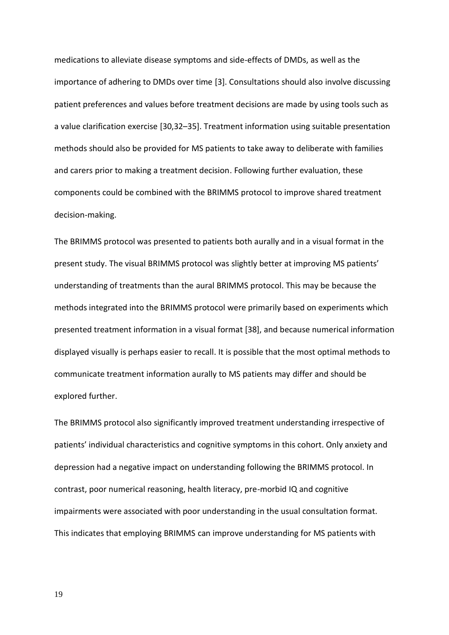medications to alleviate disease symptoms and side-effects of DMDs, as well as the importance of adhering to DMDs over time [3]. Consultations should also involve discussing patient preferences and values before treatment decisions are made by using tools such as a value clarification exercise [30,32–35]. Treatment information using suitable presentation methods should also be provided for MS patients to take away to deliberate with families and carers prior to making a treatment decision. Following further evaluation, these components could be combined with the BRIMMS protocol to improve shared treatment decision-making.

The BRIMMS protocol was presented to patients both aurally and in a visual format in the present study. The visual BRIMMS protocol was slightly better at improving MS patients' understanding of treatments than the aural BRIMMS protocol. This may be because the methods integrated into the BRIMMS protocol were primarily based on experiments which presented treatment information in a visual format [38], and because numerical information displayed visually is perhaps easier to recall. It is possible that the most optimal methods to communicate treatment information aurally to MS patients may differ and should be explored further.

The BRIMMS protocol also significantly improved treatment understanding irrespective of patients' individual characteristics and cognitive symptoms in this cohort. Only anxiety and depression had a negative impact on understanding following the BRIMMS protocol. In contrast, poor numerical reasoning, health literacy, pre-morbid IQ and cognitive impairments were associated with poor understanding in the usual consultation format. This indicates that employing BRIMMS can improve understanding for MS patients with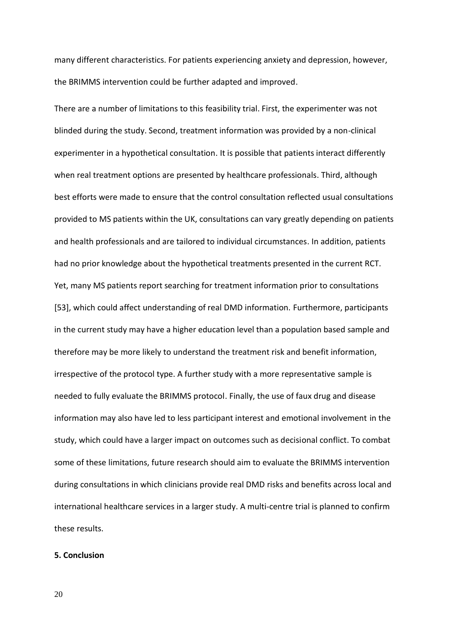many different characteristics. For patients experiencing anxiety and depression, however, the BRIMMS intervention could be further adapted and improved.

There are a number of limitations to this feasibility trial. First, the experimenter was not blinded during the study. Second, treatment information was provided by a non-clinical experimenter in a hypothetical consultation. It is possible that patients interact differently when real treatment options are presented by healthcare professionals. Third, although best efforts were made to ensure that the control consultation reflected usual consultations provided to MS patients within the UK, consultations can vary greatly depending on patients and health professionals and are tailored to individual circumstances. In addition, patients had no prior knowledge about the hypothetical treatments presented in the current RCT. Yet, many MS patients report searching for treatment information prior to consultations [53], which could affect understanding of real DMD information. Furthermore, participants in the current study may have a higher education level than a population based sample and therefore may be more likely to understand the treatment risk and benefit information, irrespective of the protocol type. A further study with a more representative sample is needed to fully evaluate the BRIMMS protocol. Finally, the use of faux drug and disease information may also have led to less participant interest and emotional involvement in the study, which could have a larger impact on outcomes such as decisional conflict. To combat some of these limitations, future research should aim to evaluate the BRIMMS intervention during consultations in which clinicians provide real DMD risks and benefits across local and international healthcare services in a larger study. A multi-centre trial is planned to confirm these results.

# **5. Conclusion**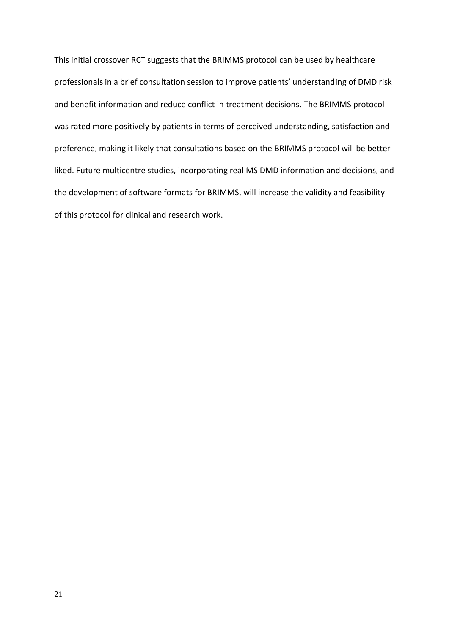This initial crossover RCT suggests that the BRIMMS protocol can be used by healthcare professionals in a brief consultation session to improve patients' understanding of DMD risk and benefit information and reduce conflict in treatment decisions. The BRIMMS protocol was rated more positively by patients in terms of perceived understanding, satisfaction and preference, making it likely that consultations based on the BRIMMS protocol will be better liked. Future multicentre studies, incorporating real MS DMD information and decisions, and the development of software formats for BRIMMS, will increase the validity and feasibility of this protocol for clinical and research work.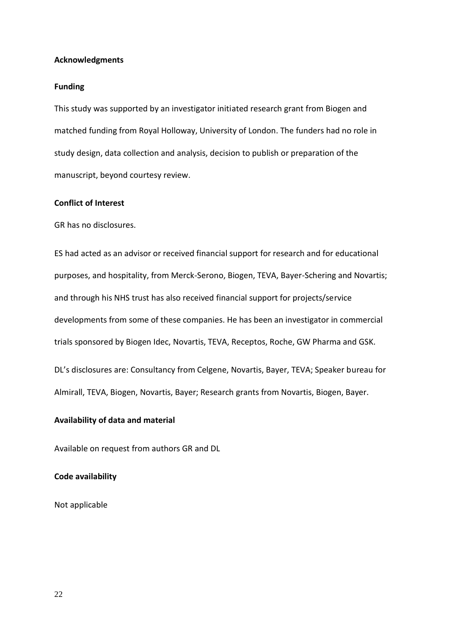# **Acknowledgments**

## **Funding**

This study was supported by an investigator initiated research grant from Biogen and matched funding from Royal Holloway, University of London. The funders had no role in study design, data collection and analysis, decision to publish or preparation of the manuscript, beyond courtesy review.

# **Conflict of Interest**

GR has no disclosures.

ES had acted as an advisor or received financial support for research and for educational purposes, and hospitality, from Merck-Serono, Biogen, TEVA, Bayer-Schering and Novartis; and through his NHS trust has also received financial support for projects/service developments from some of these companies. He has been an investigator in commercial trials sponsored by Biogen Idec, Novartis, TEVA, Receptos, Roche, GW Pharma and GSK. DL's disclosures are: Consultancy from Celgene, Novartis, Bayer, TEVA; Speaker bureau for Almirall, TEVA, Biogen, Novartis, Bayer; Research grants from Novartis, Biogen, Bayer.

# **Availability of data and material**

Available on request from authors GR and DL

# **Code availability**

Not applicable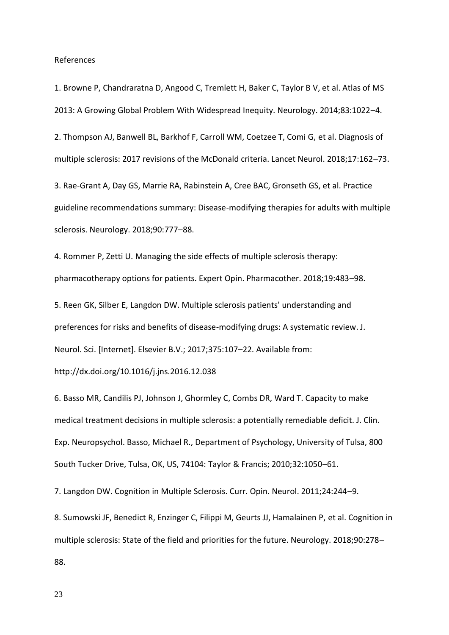References

1. Browne P, Chandraratna D, Angood C, Tremlett H, Baker C, Taylor B V, et al. Atlas of MS 2013: A Growing Global Problem With Widespread Inequity. Neurology. 2014;83:1022–4.

2. Thompson AJ, Banwell BL, Barkhof F, Carroll WM, Coetzee T, Comi G, et al. Diagnosis of multiple sclerosis: 2017 revisions of the McDonald criteria. Lancet Neurol. 2018;17:162–73.

3. Rae-Grant A, Day GS, Marrie RA, Rabinstein A, Cree BAC, Gronseth GS, et al. Practice guideline recommendations summary: Disease-modifying therapies for adults with multiple sclerosis. Neurology. 2018;90:777–88.

4. Rommer P, Zetti U. Managing the side effects of multiple sclerosis therapy: pharmacotherapy options for patients. Expert Opin. Pharmacother. 2018;19:483–98.

5. Reen GK, Silber E, Langdon DW. Multiple sclerosis patients' understanding and preferences for risks and benefits of disease-modifying drugs: A systematic review. J. Neurol. Sci. [Internet]. Elsevier B.V.; 2017;375:107–22. Available from:

http://dx.doi.org/10.1016/j.jns.2016.12.038

6. Basso MR, Candilis PJ, Johnson J, Ghormley C, Combs DR, Ward T. Capacity to make medical treatment decisions in multiple sclerosis: a potentially remediable deficit. J. Clin. Exp. Neuropsychol. Basso, Michael R., Department of Psychology, University of Tulsa, 800 South Tucker Drive, Tulsa, OK, US, 74104: Taylor & Francis; 2010;32:1050–61.

7. Langdon DW. Cognition in Multiple Sclerosis. Curr. Opin. Neurol. 2011;24:244–9.

8. Sumowski JF, Benedict R, Enzinger C, Filippi M, Geurts JJ, Hamalainen P, et al. Cognition in multiple sclerosis: State of the field and priorities for the future. Neurology. 2018;90:278– 88.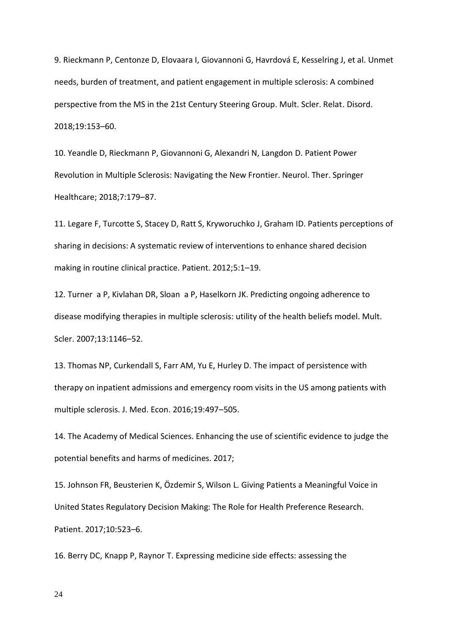9. Rieckmann P, Centonze D, Elovaara I, Giovannoni G, Havrdová E, Kesselring J, et al. Unmet needs, burden of treatment, and patient engagement in multiple sclerosis: A combined perspective from the MS in the 21st Century Steering Group. Mult. Scler. Relat. Disord. 2018;19:153–60.

10. Yeandle D, Rieckmann P, Giovannoni G, Alexandri N, Langdon D. Patient Power Revolution in Multiple Sclerosis: Navigating the New Frontier. Neurol. Ther. Springer Healthcare; 2018;7:179–87.

11. Legare F, Turcotte S, Stacey D, Ratt S, Kryworuchko J, Graham ID. Patients perceptions of sharing in decisions: A systematic review of interventions to enhance shared decision making in routine clinical practice. Patient. 2012;5:1–19.

12. Turner a P, Kivlahan DR, Sloan a P, Haselkorn JK. Predicting ongoing adherence to disease modifying therapies in multiple sclerosis: utility of the health beliefs model. Mult. Scler. 2007;13:1146–52.

13. Thomas NP, Curkendall S, Farr AM, Yu E, Hurley D. The impact of persistence with therapy on inpatient admissions and emergency room visits in the US among patients with multiple sclerosis. J. Med. Econ. 2016;19:497–505.

14. The Academy of Medical Sciences. Enhancing the use of scientific evidence to judge the potential benefits and harms of medicines. 2017;

15. Johnson FR, Beusterien K, Özdemir S, Wilson L. Giving Patients a Meaningful Voice in United States Regulatory Decision Making: The Role for Health Preference Research. Patient. 2017;10:523–6.

16. Berry DC, Knapp P, Raynor T. Expressing medicine side effects: assessing the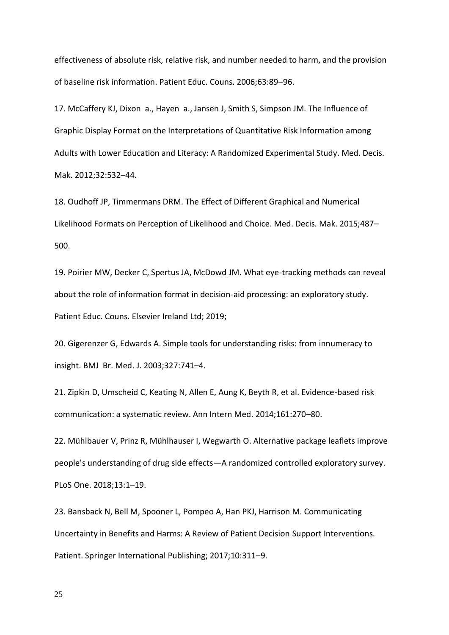effectiveness of absolute risk, relative risk, and number needed to harm, and the provision of baseline risk information. Patient Educ. Couns. 2006;63:89–96.

17. McCaffery KJ, Dixon a., Hayen a., Jansen J, Smith S, Simpson JM. The Influence of Graphic Display Format on the Interpretations of Quantitative Risk Information among Adults with Lower Education and Literacy: A Randomized Experimental Study. Med. Decis. Mak. 2012;32:532–44.

18. Oudhoff JP, Timmermans DRM. The Effect of Different Graphical and Numerical Likelihood Formats on Perception of Likelihood and Choice. Med. Decis. Mak. 2015;487– 500.

19. Poirier MW, Decker C, Spertus JA, McDowd JM. What eye-tracking methods can reveal about the role of information format in decision-aid processing: an exploratory study. Patient Educ. Couns. Elsevier Ireland Ltd; 2019;

20. Gigerenzer G, Edwards A. Simple tools for understanding risks: from innumeracy to insight. BMJ Br. Med. J. 2003;327:741–4.

21. Zipkin D, Umscheid C, Keating N, Allen E, Aung K, Beyth R, et al. Evidence-based risk communication: a systematic review. Ann Intern Med. 2014;161:270–80.

22. Mühlbauer V, Prinz R, Mühlhauser I, Wegwarth O. Alternative package leaflets improve people's understanding of drug side effects—A randomized controlled exploratory survey. PLoS One. 2018;13:1–19.

23. Bansback N, Bell M, Spooner L, Pompeo A, Han PKJ, Harrison M. Communicating Uncertainty in Benefits and Harms: A Review of Patient Decision Support Interventions. Patient. Springer International Publishing; 2017;10:311–9.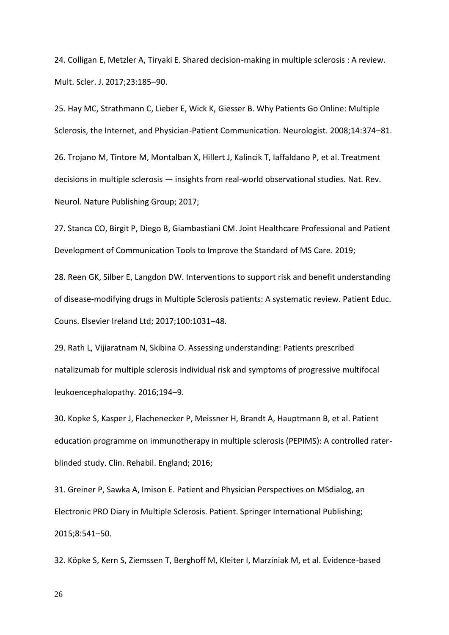24. Colligan E, Metzler A, Tiryaki E. Shared decision-making in multiple sclerosis : A review. Mult. Scler. J. 2017;23:185–90.

25. Hay MC, Strathmann C, Lieber E, Wick K, Giesser B. Why Patients Go Online: Multiple Sclerosis, the Internet, and Physician-Patient Communication. Neurologist. 2008;14:374–81.

26. Trojano M, Tintore M, Montalban X, Hillert J, Kalincik T, Iaffaldano P, et al. Treatment decisions in multiple sclerosis — insights from real-world observational studies. Nat. Rev. Neurol. Nature Publishing Group; 2017;

27. Stanca CO, Birgit P, Diego B, Giambastiani CM. Joint Healthcare Professional and Patient Development of Communication Tools to Improve the Standard of MS Care. 2019;

28. Reen GK, Silber E, Langdon DW. Interventions to support risk and benefit understanding of disease-modifying drugs in Multiple Sclerosis patients: A systematic review. Patient Educ. Couns. Elsevier Ireland Ltd; 2017;100:1031–48.

29. Rath L, Vijiaratnam N, Skibina O. Assessing understanding: Patients prescribed natalizumab for multiple sclerosis individual risk and symptoms of progressive multifocal leukoencephalopathy. 2016;194–9.

30. Kopke S, Kasper J, Flachenecker P, Meissner H, Brandt A, Hauptmann B, et al. Patient education programme on immunotherapy in multiple sclerosis (PEPIMS): A controlled raterblinded study. Clin. Rehabil. England; 2016;

31. Greiner P, Sawka A, Imison E. Patient and Physician Perspectives on MSdialog, an Electronic PRO Diary in Multiple Sclerosis. Patient. Springer International Publishing; 2015;8:541–50.

32. Köpke S, Kern S, Ziemssen T, Berghoff M, Kleiter I, Marziniak M, et al. Evidence-based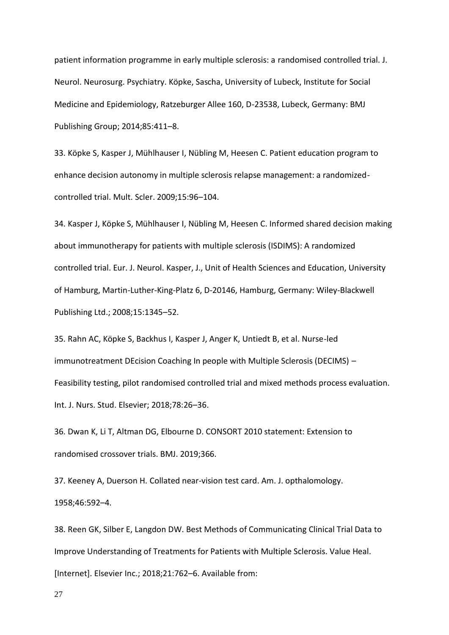patient information programme in early multiple sclerosis: a randomised controlled trial. J. Neurol. Neurosurg. Psychiatry. Köpke, Sascha, University of Lubeck, Institute for Social Medicine and Epidemiology, Ratzeburger Allee 160, D-23538, Lubeck, Germany: BMJ Publishing Group; 2014;85:411–8.

33. Köpke S, Kasper J, Mühlhauser I, Nübling M, Heesen C. Patient education program to enhance decision autonomy in multiple sclerosis relapse management: a randomizedcontrolled trial. Mult. Scler. 2009;15:96–104.

34. Kasper J, Köpke S, Mühlhauser I, Nübling M, Heesen C. Informed shared decision making about immunotherapy for patients with multiple sclerosis (ISDIMS): A randomized controlled trial. Eur. J. Neurol. Kasper, J., Unit of Health Sciences and Education, University of Hamburg, Martin-Luther-King-Platz 6, D-20146, Hamburg, Germany: Wiley-Blackwell Publishing Ltd.; 2008;15:1345–52.

35. Rahn AC, Köpke S, Backhus I, Kasper J, Anger K, Untiedt B, et al. Nurse-led immunotreatment DEcision Coaching In people with Multiple Sclerosis (DECIMS) – Feasibility testing, pilot randomised controlled trial and mixed methods process evaluation. Int. J. Nurs. Stud. Elsevier; 2018;78:26–36.

36. Dwan K, Li T, Altman DG, Elbourne D. CONSORT 2010 statement: Extension to randomised crossover trials. BMJ. 2019;366.

37. Keeney A, Duerson H. Collated near-vision test card. Am. J. opthalomology. 1958;46:592–4.

38. Reen GK, Silber E, Langdon DW. Best Methods of Communicating Clinical Trial Data to Improve Understanding of Treatments for Patients with Multiple Sclerosis. Value Heal. [Internet]. Elsevier Inc.; 2018;21:762–6. Available from: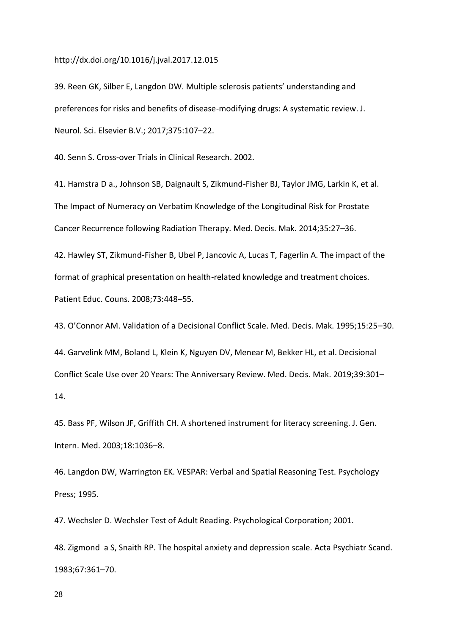# http://dx.doi.org/10.1016/j.jval.2017.12.015

39. Reen GK, Silber E, Langdon DW. Multiple sclerosis patients' understanding and preferences for risks and benefits of disease-modifying drugs: A systematic review. J. Neurol. Sci. Elsevier B.V.; 2017;375:107–22.

40. Senn S. Cross-over Trials in Clinical Research. 2002.

41. Hamstra D a., Johnson SB, Daignault S, Zikmund-Fisher BJ, Taylor JMG, Larkin K, et al. The Impact of Numeracy on Verbatim Knowledge of the Longitudinal Risk for Prostate Cancer Recurrence following Radiation Therapy. Med. Decis. Mak. 2014;35:27–36.

42. Hawley ST, Zikmund-Fisher B, Ubel P, Jancovic A, Lucas T, Fagerlin A. The impact of the format of graphical presentation on health-related knowledge and treatment choices. Patient Educ. Couns. 2008;73:448–55.

43. O'Connor AM. Validation of a Decisional Conflict Scale. Med. Decis. Mak. 1995;15:25–30. 44. Garvelink MM, Boland L, Klein K, Nguyen DV, Menear M, Bekker HL, et al. Decisional Conflict Scale Use over 20 Years: The Anniversary Review. Med. Decis. Mak. 2019;39:301– 14.

45. Bass PF, Wilson JF, Griffith CH. A shortened instrument for literacy screening. J. Gen. Intern. Med. 2003;18:1036–8.

46. Langdon DW, Warrington EK. VESPAR: Verbal and Spatial Reasoning Test. Psychology Press; 1995.

47. Wechsler D. Wechsler Test of Adult Reading. Psychological Corporation; 2001.

48. Zigmond a S, Snaith RP. The hospital anxiety and depression scale. Acta Psychiatr Scand. 1983;67:361–70.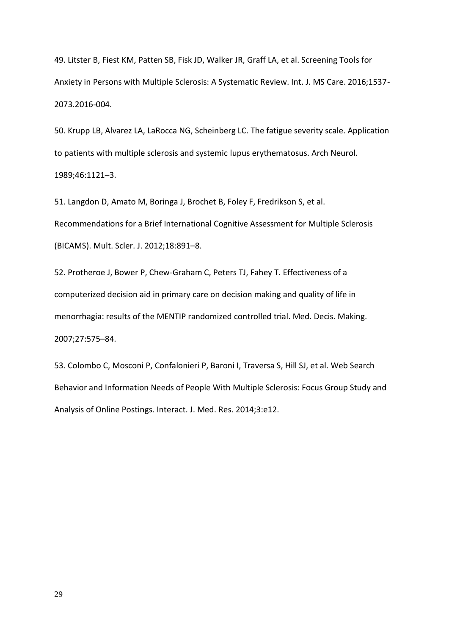49. Litster B, Fiest KM, Patten SB, Fisk JD, Walker JR, Graff LA, et al. Screening Tools for Anxiety in Persons with Multiple Sclerosis: A Systematic Review. Int. J. MS Care. 2016;1537- 2073.2016-004.

50. Krupp LB, Alvarez LA, LaRocca NG, Scheinberg LC. The fatigue severity scale. Application to patients with multiple sclerosis and systemic lupus erythematosus. Arch Neurol. 1989;46:1121–3.

51. Langdon D, Amato M, Boringa J, Brochet B, Foley F, Fredrikson S, et al. Recommendations for a Brief International Cognitive Assessment for Multiple Sclerosis (BICAMS). Mult. Scler. J. 2012;18:891–8.

52. Protheroe J, Bower P, Chew-Graham C, Peters TJ, Fahey T. Effectiveness of a computerized decision aid in primary care on decision making and quality of life in menorrhagia: results of the MENTIP randomized controlled trial. Med. Decis. Making. 2007;27:575–84.

53. Colombo C, Mosconi P, Confalonieri P, Baroni I, Traversa S, Hill SJ, et al. Web Search Behavior and Information Needs of People With Multiple Sclerosis: Focus Group Study and Analysis of Online Postings. Interact. J. Med. Res. 2014;3:e12.